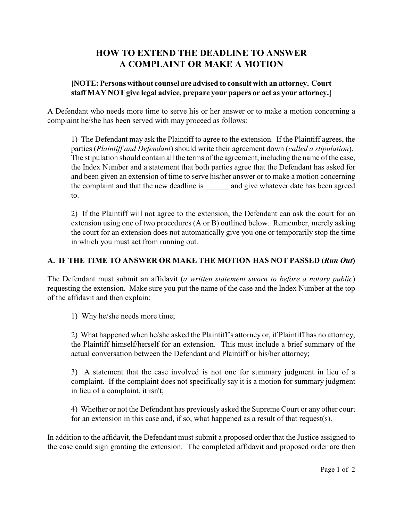# **HOW TO EXTEND THE DEADLINE TO ANSWER A COMPLAINT OR MAKE A MOTION**

## **[NOTE: Persons without counsel are advised to consult with an attorney. Court staff MAY NOT give legal advice, prepare your papers or act as your attorney.]**

A Defendant who needs more time to serve his or her answer or to make a motion concerning a complaint he/she has been served with may proceed as follows:

1) The Defendant may ask the Plaintiff to agree to the extension. If the Plaintiff agrees, the parties (*Plaintiff and Defendant*) should write their agreement down (*called a stipulation*). The stipulation should contain all the terms of the agreement, including the name of the case, the Index Number and a statement that both parties agree that the Defendant has asked for and been given an extension of time to serve his/her answer or to make a motion concerning the complaint and that the new deadline is and give whatever date has been agreed to.

2) If the Plaintiff will not agree to the extension, the Defendant can ask the court for an extension using one of two procedures (A or B) outlined below. Remember, merely asking the court for an extension does not automatically give you one or temporarily stop the time in which you must act from running out.

# **A. IF THE TIME TO ANSWER OR MAKE THE MOTION HAS NOT PASSED (***Run Out***)**

The Defendant must submit an affidavit (*a written statement sworn to before a notary public*) requesting the extension. Make sure you put the name of the case and the Index Number at the top of the affidavit and then explain:

1) Why he/she needs more time;

2) What happened when he/she asked the Plaintiff's attorney or, if Plaintiff has no attorney, the Plaintiff himself/herself for an extension. This must include a brief summary of the actual conversation between the Defendant and Plaintiff or his/her attorney;

3) A statement that the case involved is not one for summary judgment in lieu of a complaint. If the complaint does not specifically say it is a motion for summary judgment in lieu of a complaint, it isn't;

4) Whether or not the Defendant has previously asked the Supreme Court or any other court for an extension in this case and, if so, what happened as a result of that request(s).

In addition to the affidavit, the Defendant must submit a proposed order that the Justice assigned to the case could sign granting the extension. The completed affidavit and proposed order are then